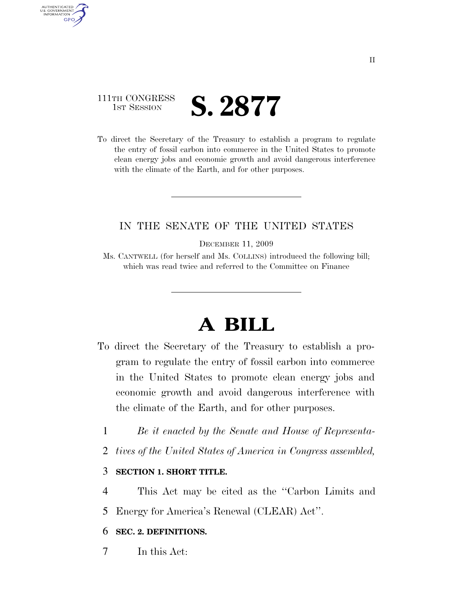# 111TH CONGRESS **IST SESSION S. 2877**

AUTHENTICATED U.S. GOVERNMENT **GPO** 

> To direct the Secretary of the Treasury to establish a program to regulate the entry of fossil carbon into commerce in the United States to promote clean energy jobs and economic growth and avoid dangerous interference with the climate of the Earth, and for other purposes.

### IN THE SENATE OF THE UNITED STATES

DECEMBER 11, 2009

Ms. CANTWELL (for herself and Ms. COLLINS) introduced the following bill; which was read twice and referred to the Committee on Finance

# **A BILL**

- To direct the Secretary of the Treasury to establish a program to regulate the entry of fossil carbon into commerce in the United States to promote clean energy jobs and economic growth and avoid dangerous interference with the climate of the Earth, and for other purposes.
	- 1 *Be it enacted by the Senate and House of Representa-*
	- 2 *tives of the United States of America in Congress assembled,*

#### 3 **SECTION 1. SHORT TITLE.**

4 This Act may be cited as the ''Carbon Limits and

5 Energy for America's Renewal (CLEAR) Act''.

#### 6 **SEC. 2. DEFINITIONS.**

7 In this Act: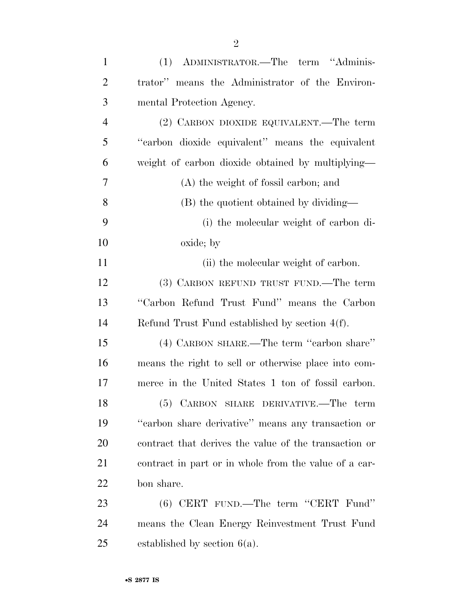| $\mathbf{1}$   | (1) ADMINISTRATOR.—The term "Adminis-                 |
|----------------|-------------------------------------------------------|
| $\overline{2}$ | trator" means the Administrator of the Environ-       |
| 3              | mental Protection Agency.                             |
| $\overline{4}$ | (2) CARBON DIOXIDE EQUIVALENT.—The term               |
| 5              | "carbon dioxide equivalent" means the equivalent      |
| 6              | weight of carbon dioxide obtained by multiplying—     |
| 7              | (A) the weight of fossil carbon; and                  |
| 8              | (B) the quotient obtained by dividing—                |
| 9              | (i) the molecular weight of carbon di-                |
| 10             | oxide; by                                             |
| 11             | (ii) the molecular weight of carbon.                  |
| 12             | (3) CARBON REFUND TRUST FUND.—The term                |
| 13             | "Carbon Refund Trust Fund" means the Carbon           |
| 14             | Refund Trust Fund established by section $4(f)$ .     |
| 15             | (4) CARBON SHARE.—The term "carbon share"             |
| 16             | means the right to sell or otherwise place into com-  |
| 17             | merce in the United States 1 ton of fossil carbon.    |
| 18             | $(5)$ CARBON SHARE DERIVATIVE.—The term               |
| 19             | "carbon share derivative" means any transaction or    |
| 20             | contract that derives the value of the transaction or |
| 21             | contract in part or in whole from the value of a car- |
| 22             | bon share.                                            |
| 23             | $(6)$ CERT FUND.—The term "CERT Fund"                 |
| 24             | means the Clean Energy Reinvestment Trust Fund        |
| 25             | established by section $6(a)$ .                       |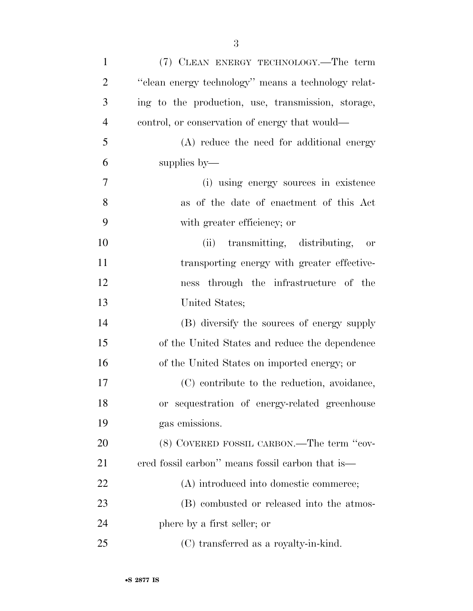| $\mathbf{1}$   | (7) CLEAN ENERGY TECHNOLOGY.—The term               |
|----------------|-----------------------------------------------------|
| $\overline{2}$ | "clean energy technology" means a technology relat- |
| 3              | ing to the production, use, transmission, storage,  |
| $\overline{4}$ | control, or conservation of energy that would—      |
| 5              | (A) reduce the need for additional energy           |
| 6              | supplies by—                                        |
| 7              | (i) using energy sources in existence               |
| 8              | as of the date of enactment of this Act             |
| 9              | with greater efficiency; or                         |
| 10             | transmitting, distributing,<br>(ii)<br>or           |
| 11             | transporting energy with greater effective-         |
| 12             | ness through the infrastructure of the              |
| 13             | United States;                                      |
| 14             | (B) diversify the sources of energy supply          |
| 15             | of the United States and reduce the dependence      |
| 16             | of the United States on imported energy; or         |
| 17             | (C) contribute to the reduction, avoidance,         |
| 18             | or sequestration of energy-related greenhouse       |
| 19             | gas emissions.                                      |
| 20             | (8) COVERED FOSSIL CARBON.—The term "cov-           |
| 21             | ered fossil carbon" means fossil carbon that is—    |
| 22             | (A) introduced into domestic commerce;              |
| 23             | (B) combusted or released into the atmos-           |
| 24             | phere by a first seller; or                         |
| 25             | (C) transferred as a royalty-in-kind.               |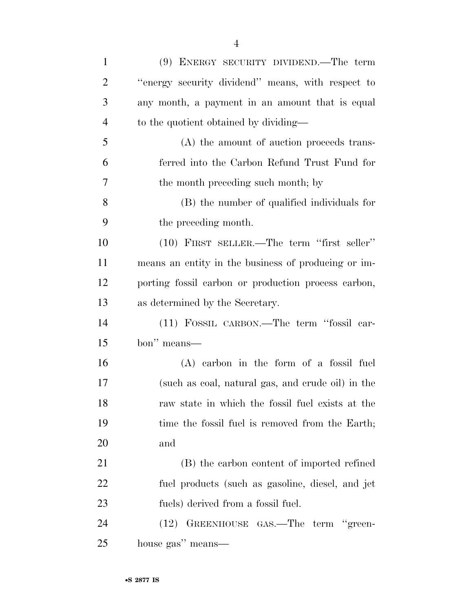| $\mathbf{1}$   | (9) ENERGY SECURITY DIVIDEND.—The term              |
|----------------|-----------------------------------------------------|
| $\overline{2}$ | "energy security dividend" means, with respect to   |
| 3              | any month, a payment in an amount that is equal     |
| $\overline{4}$ | to the quotient obtained by dividing—               |
| 5              | (A) the amount of auction proceeds trans-           |
| 6              | ferred into the Carbon Refund Trust Fund for        |
| 7              | the month preceding such month; by                  |
| 8              | (B) the number of qualified individuals for         |
| 9              | the preceding month.                                |
| 10             | $(10)$ FIRST SELLER.—The term "first seller"        |
| 11             | means an entity in the business of producing or im- |
| 12             | porting fossil carbon or production process carbon, |
| 13             | as determined by the Secretary.                     |
| 14             | (11) FOSSIL CARBON.—The term "fossil car-           |
| 15             | bon" means-                                         |
| 16             | $(A)$ carbon in the form of a fossil fuel           |
| 17             | (such as coal, natural gas, and crude oil) in the   |
| 18             | raw state in which the fossil fuel exists at the    |
| 19             | time the fossil fuel is removed from the Earth;     |
| 20             | and                                                 |
| 21             | (B) the carbon content of imported refined          |
| 22             | fuel products (such as gasoline, diesel, and jet    |
| 23             | fuels) derived from a fossil fuel.                  |
| 24             | GREENHOUSE GAS.—The term "green-<br>(12)            |
|                |                                                     |

house gas'' means—

•**S 2877 IS**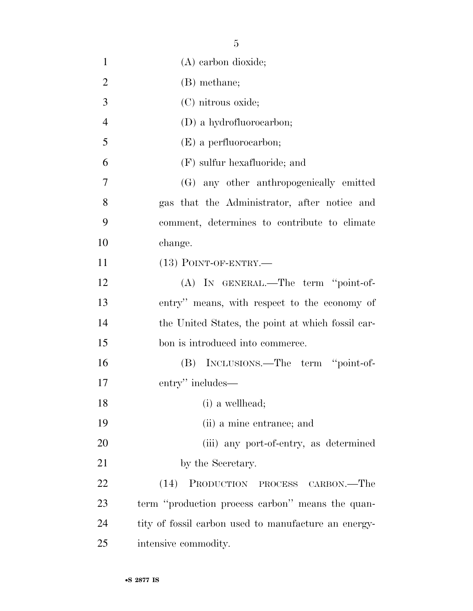| $\mathbf{1}$   | (A) carbon dioxide;                                  |
|----------------|------------------------------------------------------|
| $\overline{2}$ | (B) methane;                                         |
| 3              | (C) nitrous oxide;                                   |
| $\overline{4}$ | (D) a hydrofluorocarbon;                             |
| 5              | $(E)$ a perfluorocarbon;                             |
| 6              | $(F)$ sulfur hexafluoride; and                       |
| $\overline{7}$ | (G) any other anthropogenically emitted              |
| 8              | gas that the Administrator, after notice and         |
| 9              | comment, determines to contribute to climate         |
| 10             | change.                                              |
| 11             | $(13)$ POINT-OF-ENTRY.—                              |
| 12             | (A) IN GENERAL.—The term "point-of-                  |
| 13             | entry" means, with respect to the economy of         |
| 14             | the United States, the point at which fossil car-    |
| 15             | bon is introduced into commerce.                     |
| 16             | (B) INCLUSIONS.—The term "point-of-                  |
| 17             | entry" includes—                                     |
| 18             | (i) a wellhead;                                      |
| 19             | (ii) a mine entrance; and                            |
| 20             | (iii) any port-of-entry, as determined               |
| 21             | by the Secretary.                                    |
| 22             | (14)<br>PRODUCTION PROCESS CARBON.—The               |
| 23             | term "production process carbon" means the quan-     |
| 24             | tity of fossil carbon used to manufacture an energy- |
| 25             | intensive commodity.                                 |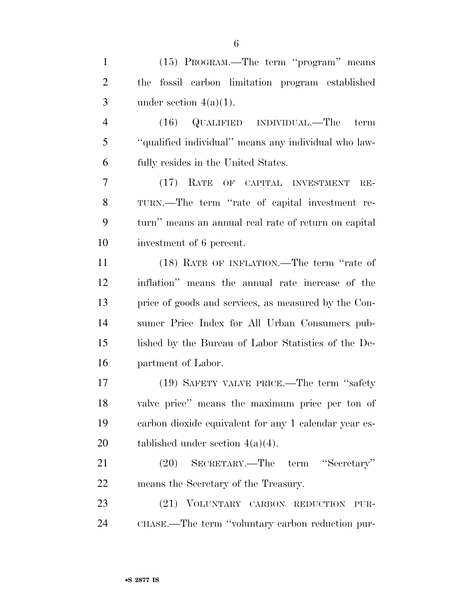| $\mathbf{1}$   | (15) PROGRAM.—The term "program" means                |
|----------------|-------------------------------------------------------|
| $\overline{2}$ | fossil carbon limitation program established<br>the   |
| 3              | under section $4(a)(1)$ .                             |
| $\overline{4}$ | $(16)$ QUALIFIED INDIVIDUAL.—The<br>term              |
| 5              | "qualified individual" means any individual who law-  |
| 6              | fully resides in the United States.                   |
| 7              | (17) RATE OF CAPITAL INVESTMENT<br>$RE-$              |
| 8              | TURN.—The term "rate of capital investment re-        |
| 9              | turn" means an annual real rate of return on capital  |
| 10             | investment of 6 percent.                              |
| 11             | (18) RATE OF INFLATION.—The term "rate of             |
| 12             | inflation" means the annual rate increase of the      |
| 13             | price of goods and services, as measured by the Con-  |
| 14             | sumer Price Index for All Urban Consumers pub-        |
| 15             | lished by the Bureau of Labor Statistics of the De-   |
| 16             | partment of Labor.                                    |
| 17             | (19) SAFETY VALVE PRICE.—The term "safety"            |
| 18             | valve price" means the maximum price per ton of       |
| 19             | carbon dioxide equivalent for any 1 calendar year es- |
| 20             | tablished under section $4(a)(4)$ .                   |
| 21             | SECRETARY.—The term "Secretary"<br>(20)               |
| 22             | means the Secretary of the Treasury.                  |
| 23             | (21) VOLUNTARY CARBON REDUCTION PUR-                  |
| 24             | CHASE.—The term "voluntary carbon reduction pur-      |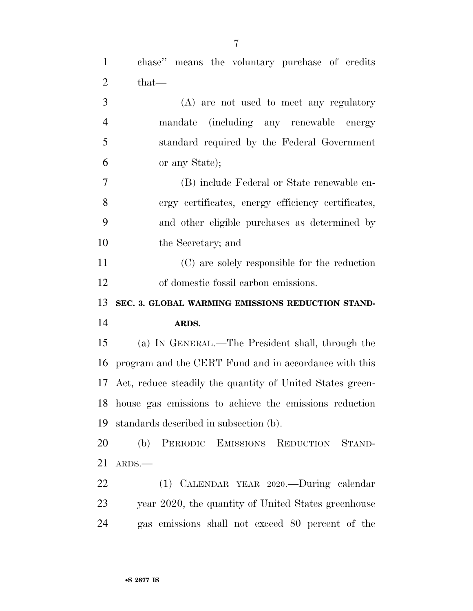chase'' means the voluntary purchase of credits

 $2 \qquad \text{that} \text{---}$ 

| 3              | (A) are not used to meet any regulatory                   |
|----------------|-----------------------------------------------------------|
| $\overline{4}$ | mandate (including any renewable energy                   |
| 5              | standard required by the Federal Government               |
| 6              | or any State);                                            |
| $\tau$         | (B) include Federal or State renewable en-                |
| 8              | ergy certificates, energy efficiency certificates,        |
| 9              | and other eligible purchases as determined by             |
| 10             | the Secretary; and                                        |
| 11             | (C) are solely responsible for the reduction              |
| 12             | of domestic fossil carbon emissions.                      |
| 13             | SEC. 3. GLOBAL WARMING EMISSIONS REDUCTION STAND-         |
| 14             | ARDS.                                                     |
| 15             | (a) IN GENERAL.—The President shall, through the          |
| 16             | program and the CERT Fund and in accordance with this     |
| 17             | Act, reduce steadily the quantity of United States green- |
| 18             | house gas emissions to achieve the emissions reduction    |
| 19             | standards described in subsection (b).                    |
| 20             | (b) PERIODIC EMISSIONS REDUCTION STAND-                   |
| 21             | ARDS.                                                     |
| 22             | (1) CALENDAR YEAR 2020.—During calendar                   |
| 23             | year 2020, the quantity of United States greenhouse       |
| 24             | gas emissions shall not exceed 80 percent of the          |
|                |                                                           |
|                |                                                           |
|                | •S 2877 IS                                                |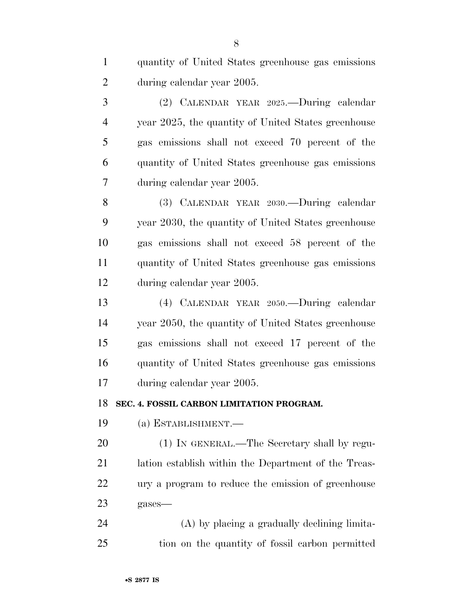| $\mathbf{1}$   | quantity of United States greenhouse gas emissions   |
|----------------|------------------------------------------------------|
| $\overline{2}$ | during calendar year 2005.                           |
| 3              | (2) CALENDAR YEAR 2025.—During calendar              |
| $\overline{4}$ | year 2025, the quantity of United States greenhouse  |
| 5              | gas emissions shall not exceed 70 percent of the     |
| 6              | quantity of United States greenhouse gas emissions   |
| 7              | during calendar year 2005.                           |
| 8              | (3) CALENDAR YEAR 2030.—During calendar              |
| 9              | year 2030, the quantity of United States greenhouse  |
| 10             | gas emissions shall not exceed 58 percent of the     |
| 11             | quantity of United States greenhouse gas emissions   |
| 12             | during calendar year 2005.                           |
| 13             | (4) CALENDAR YEAR 2050.—During calendar              |
| 14             | year 2050, the quantity of United States greenhouse  |
| 15             | gas emissions shall not exceed 17 percent of the     |
| 16             | quantity of United States greenhouse gas emissions   |
| 17             | during calendar year 2005.                           |
| 18             | SEC. 4. FOSSIL CARBON LIMITATION PROGRAM.            |
| 19             | $(a)$ ESTABLISHMENT.—                                |
| 20             | (1) IN GENERAL.—The Secretary shall by regu-         |
| 21             | lation establish within the Department of the Treas- |
| 22             | ury a program to reduce the emission of greenhouse   |
| 23             | gases-                                               |
| 24             | (A) by placing a gradually declining limita-         |
| 25             | tion on the quantity of fossil carbon permitted      |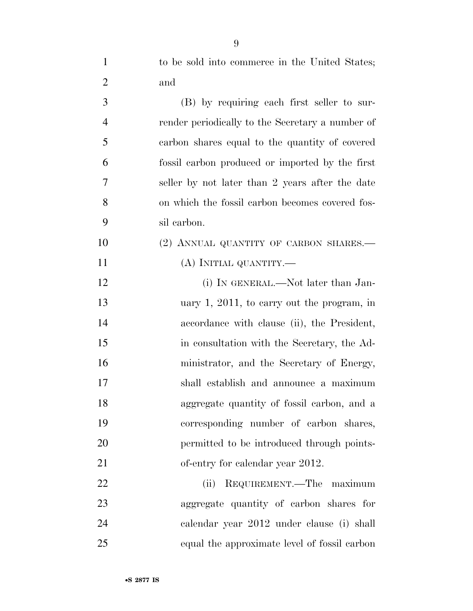| $\mathbf{1}$   | to be sold into commerce in the United States;   |
|----------------|--------------------------------------------------|
| $\overline{2}$ | and                                              |
| 3              | (B) by requiring each first seller to sur-       |
| $\overline{4}$ | render periodically to the Secretary a number of |
| 5              | carbon shares equal to the quantity of covered   |
| 6              | fossil carbon produced or imported by the first  |
| 7              | seller by not later than 2 years after the date  |
| 8              | on which the fossil carbon becomes covered fos-  |
| 9              | sil carbon.                                      |
| 10             | (2) ANNUAL QUANTITY OF CARBON SHARES.—           |
| 11             | (A) INITIAL QUANTITY.—                           |
| 12             | (i) IN GENERAL.—Not later than Jan-              |
| 13             | uary $1, 2011$ , to carry out the program, in    |
| 14             | accordance with clause (ii), the President,      |
| 15             | in consultation with the Secretary, the Ad-      |
| 16             | ministrator, and the Secretary of Energy,        |
| 17             | shall establish and announce a maximum           |
| 18             | aggregate quantity of fossil carbon, and a       |
| 19             | corresponding number of carbon shares,           |
| 20             | permitted to be introduced through points-       |
| 21             | of-entry for calendar year 2012.                 |
| 22             | REQUIREMENT.—The maximum<br>(ii)                 |
| 23             | aggregate quantity of carbon shares for          |
| 24             | calendar year 2012 under clause (i) shall        |
| 25             | equal the approximate level of fossil carbon     |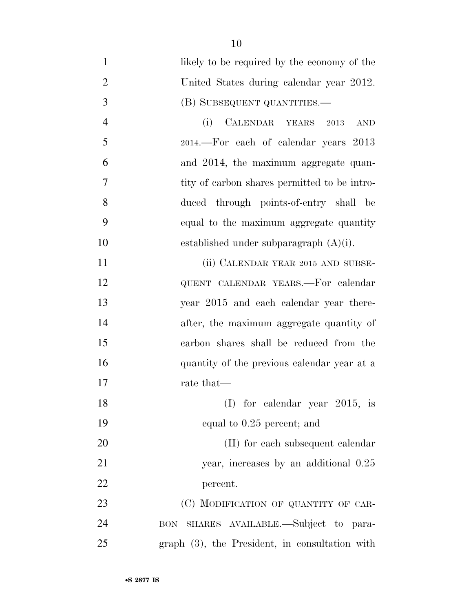| $\mathbf{1}$   | likely to be required by the economy of the    |
|----------------|------------------------------------------------|
| $\overline{2}$ | United States during calendar year 2012.       |
| 3              | (B) SUBSEQUENT QUANTITIES.—                    |
| $\overline{4}$ | CALENDAR YEARS 2013<br>(i)<br><b>AND</b>       |
| 5              | 2014.—For each of calendar years 2013          |
| 6              | and 2014, the maximum aggregate quan-          |
| 7              | tity of carbon shares permitted to be intro-   |
| 8              | duced through points-of-entry shall be         |
| 9              | equal to the maximum aggregate quantity        |
| 10             | established under subparagraph $(A)(i)$ .      |
| 11             | (ii) CALENDAR YEAR 2015 AND SUBSE-             |
| 12             | QUENT CALENDAR YEARS.-For calendar             |
| 13             | year 2015 and each calendar year there-        |
| 14             | after, the maximum aggregate quantity of       |
| 15             | carbon shares shall be reduced from the        |
| 16             | quantity of the previous calendar year at a    |
| 17             | rate that—                                     |
| 18             | (I) for calendar year $2015$ , is              |
| 19             | equal to 0.25 percent; and                     |
| 20             | (II) for each subsequent calendar              |
| 21             | year, increases by an additional 0.25          |
| 22             | percent.                                       |
| 23             | (C) MODIFICATION OF QUANTITY OF CAR-           |
| 24             | BON SHARES AVAILABLE.-Subject to para-         |
| 25             | graph (3), the President, in consultation with |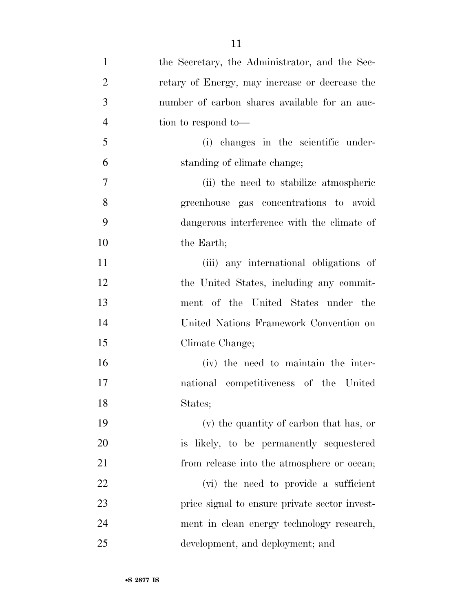| $\mathbf{1}$   | the Secretary, the Administrator, and the Sec- |
|----------------|------------------------------------------------|
| $\overline{2}$ | retary of Energy, may increase or decrease the |
| 3              | number of carbon shares available for an auc-  |
| $\overline{4}$ | tion to respond to-                            |
| 5              | (i) changes in the scientific under-           |
| 6              | standing of climate change;                    |
| 7              | (ii) the need to stabilize atmospheric         |
| 8              | greenhouse gas concentrations to avoid         |
| 9              | dangerous interference with the climate of     |
| 10             | the Earth;                                     |
| 11             | (iii) any international obligations of         |
| 12             | the United States, including any commit-       |
| 13             | ment of the United States under the            |
| 14             | United Nations Framework Convention on         |
| 15             | Climate Change;                                |
| 16             | (iv) the need to maintain the inter-           |
| 17             | national competitiveness of the United         |
| 18             | States;                                        |
| 19             | (v) the quantity of carbon that has, or        |
| 20             | is likely, to be permanently sequestered       |
| 21             | from release into the atmosphere or ocean;     |
| 22             | (vi) the need to provide a sufficient          |
| 23             | price signal to ensure private sector invest-  |
| 24             | ment in clean energy technology research,      |
| 25             | development, and deployment; and               |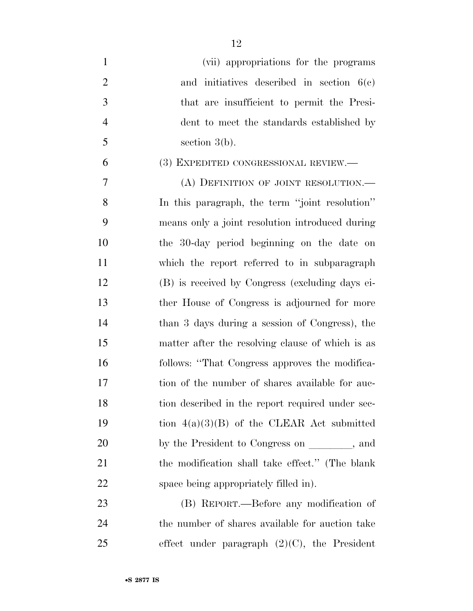| $\mathbf{1}$   | (vii) appropriations for the programs            |
|----------------|--------------------------------------------------|
| $\overline{2}$ | and initiatives described in section $6(e)$      |
| 3              | that are insufficient to permit the Presi-       |
| $\overline{4}$ | dent to meet the standards established by        |
| 5              | section $3(b)$ .                                 |
| 6              | (3) EXPEDITED CONGRESSIONAL REVIEW.—             |
| 7              | (A) DEFINITION OF JOINT RESOLUTION.              |
| 8              | In this paragraph, the term "joint resolution"   |
| 9              | means only a joint resolution introduced during  |
| 10             | the 30-day period beginning on the date on       |
| 11             | which the report referred to in subparagraph     |
| 12             | (B) is received by Congress (excluding days ei-  |
| 13             | ther House of Congress is adjourned for more     |
| 14             | than 3 days during a session of Congress), the   |
| 15             | matter after the resolving clause of which is as |
| 16             | follows: "That Congress approves the modifica-   |
| 17             | tion of the number of shares available for auc-  |
| 18             | tion described in the report required under sec- |
| 19             | tion $4(a)(3)(B)$ of the CLEAR Act submitted     |
| 20             | by the President to Congress on ______, and      |
| 21             | the modification shall take effect." (The blank  |
| 22             | space being appropriately filled in.             |
| 23             | (B) REPORT.—Before any modification of           |
| 24             | the number of shares available for auction take  |
| 25             | effect under paragraph $(2)(C)$ , the President  |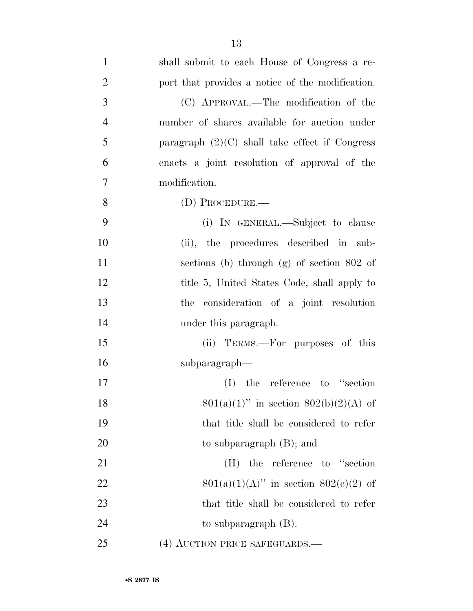| $\mathbf{1}$   | shall submit to each House of Congress a re-     |
|----------------|--------------------------------------------------|
| $\overline{2}$ | port that provides a notice of the modification. |
| $\mathfrak{Z}$ | (C) APPROVAL.—The modification of the            |
| $\overline{4}$ | number of shares available for auction under     |
| 5              | paragraph $(2)(C)$ shall take effect if Congress |
| 6              | enacts a joint resolution of approval of the     |
| 7              | modification.                                    |
| $8\,$          | $(D)$ Procedure.—                                |
| 9              | (i) IN GENERAL.—Subject to clause                |
| 10             | (ii), the procedures described in sub-           |
| 11             | sections (b) through $(g)$ of section 802 of     |
| 12             | title 5, United States Code, shall apply to      |
| 13             | consideration of a joint resolution<br>the       |
| 14             | under this paragraph.                            |
| 15             | (ii) TERMS.—For purposes of this                 |
| 16             | subparagraph—                                    |
| 17             | the reference to "section"<br>(I)                |
| 18             | $801(a)(1)$ " in section $802(b)(2)(A)$ of       |
| 19             | that title shall be considered to refer          |
| 20             | to subparagraph $(B)$ ; and                      |
| 21             | $(II)$ the reference to "section"                |
| 22             | $801(a)(1)(A)$ " in section $802(e)(2)$ of       |
| 23             | that title shall be considered to refer          |
| 24             | to subparagraph $(B)$ .                          |
| 25             | (4) AUCTION PRICE SAFEGUARDS.—                   |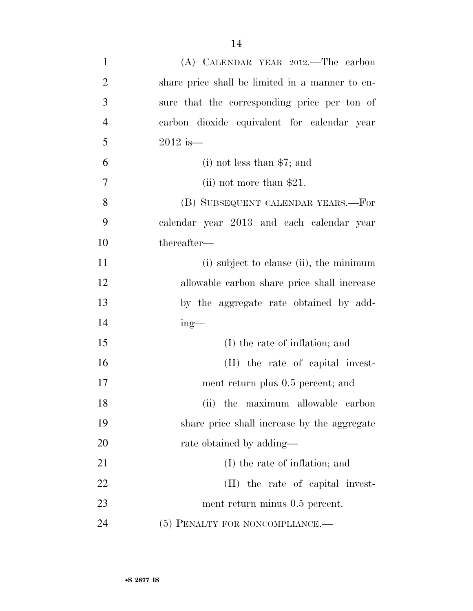| $\mathbf{1}$   | (A) CALENDAR YEAR 2012.—The carbon              |
|----------------|-------------------------------------------------|
| $\overline{2}$ | share price shall be limited in a manner to en- |
| 3              | sure that the corresponding price per ton of    |
| $\overline{4}$ | carbon dioxide equivalent for calendar year     |
| 5              | $2012$ is—                                      |
| 6              | $(i)$ not less than \$7; and                    |
| 7              | (ii) not more than $$21$ .                      |
| 8              | (B) SUBSEQUENT CALENDAR YEARS.—For              |
| 9              | calendar year 2013 and each calendar year       |
| 10             | thereafter-                                     |
| 11             | (i) subject to clause (ii), the minimum         |
| 12             | allowable carbon share price shall increase     |
| 13             | by the aggregate rate obtained by add-          |
| 14             | $ing$ —                                         |
| 15             | (I) the rate of inflation; and                  |
| 16             | (II) the rate of capital invest-                |
| 17             | ment return plus 0.5 percent; and               |
| 18             | (ii) the maximum allowable carbon               |
| 19             | share price shall increase by the aggregate     |
| 20             | rate obtained by adding—                        |
| 21             | (I) the rate of inflation; and                  |
| 22             | (II) the rate of capital invest-                |
| 23             | ment return minus 0.5 percent.                  |
| 24             | (5) PENALTY FOR NONCOMPLIANCE.-                 |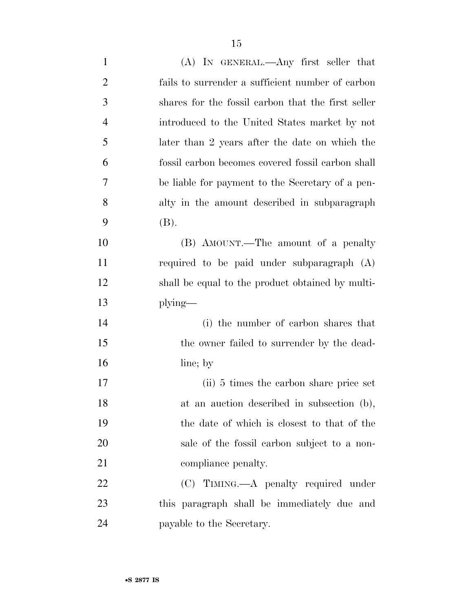| $\mathbf{1}$   | $(A)$ In GENERAL.—Any first seller that            |
|----------------|----------------------------------------------------|
| $\overline{c}$ | fails to surrender a sufficient number of carbon   |
| 3              | shares for the fossil carbon that the first seller |
| $\overline{4}$ | introduced to the United States market by not      |
| 5              | later than 2 years after the date on which the     |
| 6              | fossil carbon becomes covered fossil carbon shall  |
| $\overline{7}$ | be liable for payment to the Secretary of a pen-   |
| 8              | alty in the amount described in subparagraph       |
| 9              | (B).                                               |
| 10             | (B) AMOUNT.—The amount of a penalty                |
| 11             | required to be paid under subparagraph (A)         |
| 12             | shall be equal to the product obtained by multi-   |
| 13             | $plying$ —                                         |
| 14             | (i) the number of carbon shares that               |
| 15             | the owner failed to surrender by the dead-         |
| 16             | line; by                                           |
| 17             | (ii) 5 times the carbon share price set            |
| 18             | at an auction described in subsection (b),         |
| 19             | the date of which is closest to that of the        |
| 20             | sale of the fossil carbon subject to a non-        |
| 21             | compliance penalty.                                |
| 22             | $(C)$ TIMING.—A penalty required under             |
| 23             | this paragraph shall be immediately due and        |
| 24             | payable to the Secretary.                          |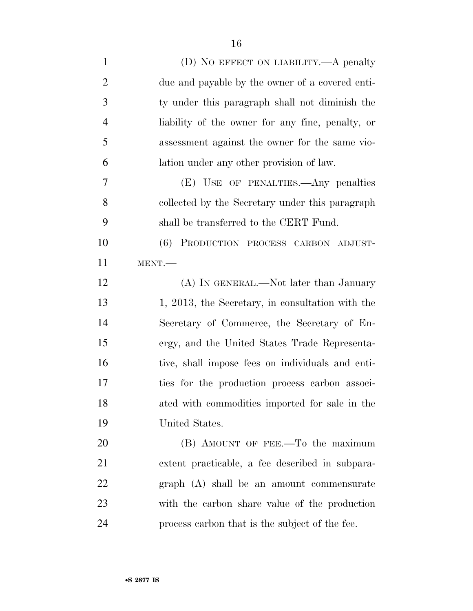| $\mathbf{1}$   | (D) NO EFFECT ON LIABILITY.—A penalty            |
|----------------|--------------------------------------------------|
| $\overline{2}$ | due and payable by the owner of a covered enti-  |
| 3              | ty under this paragraph shall not diminish the   |
| $\overline{4}$ | liability of the owner for any fine, penalty, or |
| 5              | assessment against the owner for the same vio-   |
| 6              | lation under any other provision of law.         |
| 7              | (E) USE OF PENALTIES.—Any penalties              |
| 8              | collected by the Secretary under this paragraph  |
| 9              | shall be transferred to the CERT Fund.           |
| 10             | (6) PRODUCTION PROCESS CARBON ADJUST-            |
| 11             | MENT.                                            |
| 12             | (A) IN GENERAL.—Not later than January           |
| 13             | 1, 2013, the Secretary, in consultation with the |
| 14             | Secretary of Commerce, the Secretary of En-      |
| 15             | ergy, and the United States Trade Representa-    |
| 16             | tive, shall impose fees on individuals and enti- |
| 17             | ties for the production process carbon associ-   |
| 18             | ated with commodities imported for sale in the   |
| 19             | United States.                                   |
| 20             | (B) AMOUNT OF FEE.—To the maximum                |
| 21             | extent practicable, a fee described in subpara-  |
| 22             | graph (A) shall be an amount commensurate        |
| 23             | with the carbon share value of the production    |
| 24             | process carbon that is the subject of the fee.   |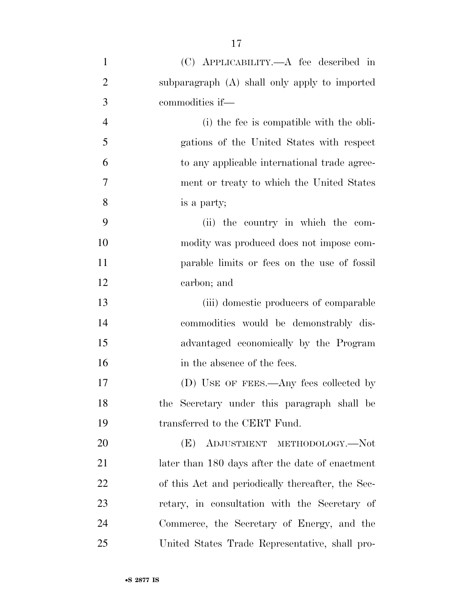| $\mathbf{1}$   | (C) APPLICABILITY.—A fee described in             |
|----------------|---------------------------------------------------|
| $\overline{2}$ | subparagraph (A) shall only apply to imported     |
| 3              | commodities if—                                   |
| $\overline{4}$ | (i) the fee is compatible with the obli-          |
| 5              | gations of the United States with respect         |
| 6              | to any applicable international trade agree-      |
| 7              | ment or treaty to which the United States         |
| 8              | is a party;                                       |
| 9              | (ii) the country in which the com-                |
| 10             | modity was produced does not impose com-          |
| 11             | parable limits or fees on the use of fossil       |
| 12             | carbon; and                                       |
| 13             | (iii) domestic producers of comparable            |
| 14             | commodities would be demonstrably dis-            |
| 15             | advantaged economically by the Program            |
| 16             | in the absence of the fees.                       |
| 17             | (D) USE OF FEES.—Any fees collected by            |
| 18             | the Secretary under this paragraph shall be       |
| 19             | transferred to the CERT Fund.                     |
| 20             | ADJUSTMENT METHODOLOGY.-Not<br>(E)                |
| 21             | later than 180 days after the date of enactment   |
| 22             | of this Act and periodically thereafter, the Sec- |
| 23             | retary, in consultation with the Secretary of     |
| 24             | Commerce, the Secretary of Energy, and the        |
| 25             | United States Trade Representative, shall pro-    |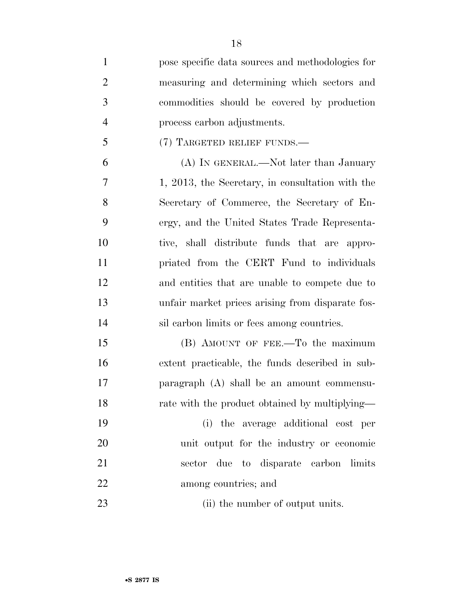| $\mathbf{1}$   | pose specific data sources and methodologies for |
|----------------|--------------------------------------------------|
| $\overline{2}$ | measuring and determining which sectors and      |
| 3              | commodities should be covered by production      |
| $\overline{4}$ | process carbon adjustments.                      |
| 5              | (7) TARGETED RELIEF FUNDS.—                      |
| 6              | (A) IN GENERAL.—Not later than January           |
| 7              | 1, 2013, the Secretary, in consultation with the |
| 8              | Secretary of Commerce, the Secretary of En-      |
| 9              | ergy, and the United States Trade Representa-    |
| 10             | tive, shall distribute funds that are appro-     |
| 11             | priated from the CERT Fund to individuals        |
| 12             | and entities that are unable to compete due to   |
| 13             | unfair market prices arising from disparate fos- |
| 14             | sil carbon limits or fees among countries.       |
| 15             | (B) AMOUNT OF FEE.—To the maximum                |
| 16             | extent practicable, the funds described in sub-  |
| 17             | paragraph (A) shall be an amount commensu-       |
| 18             | rate with the product obtained by multiplying—   |
| 19             | (i) the average additional cost per              |
| 20             | unit output for the industry or economic         |
| 21             | sector due to disparate carbon limits            |
| 22             | among countries; and                             |
| 23             | (ii) the number of output units.                 |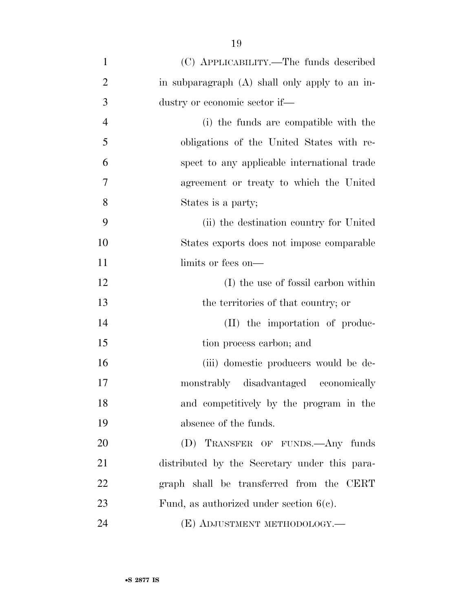| $\mathbf{1}$   | (C) APPLICABILITY.—The funds described         |
|----------------|------------------------------------------------|
| $\overline{2}$ | in subparagraph (A) shall only apply to an in- |
| 3              | dustry or economic sector if—                  |
| $\overline{4}$ | (i) the funds are compatible with the          |
| 5              | obligations of the United States with re-      |
| 6              | spect to any applicable international trade    |
| 7              | agreement or treaty to which the United        |
| 8              | States is a party;                             |
| 9              | (ii) the destination country for United        |
| 10             | States exports does not impose comparable      |
| 11             | limits or fees on—                             |
| 12             | (I) the use of fossil carbon within            |
| 13             | the territories of that country; or            |
| 14             | (II) the importation of produc-                |
| 15             | tion process carbon; and                       |
| 16             | (iii) domestic producers would be de-          |
| 17             | monstrably disadvantaged economically          |
| 18             | and competitively by the program in the        |
| 19             | absence of the funds.                          |
| 20             | (D) TRANSFER OF FUNDS. Any funds               |
| 21             | distributed by the Secretary under this para-  |
| 22             | graph shall be transferred from the CERT       |
| 23             | Fund, as authorized under section $6(c)$ .     |
| 24             | (E) ADJUSTMENT METHODOLOGY.—                   |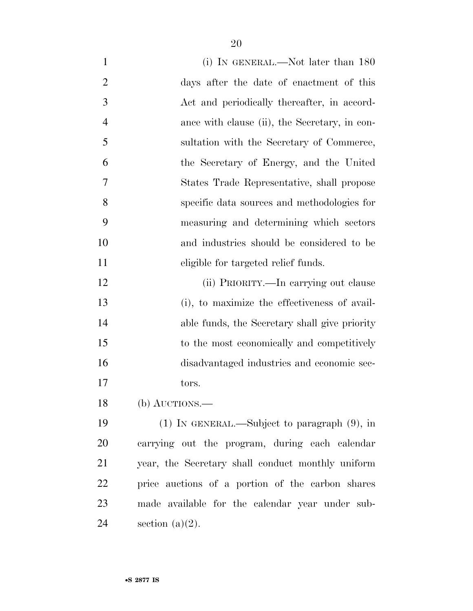| $\mathbf{1}$   | (i) IN GENERAL.—Not later than $180$              |
|----------------|---------------------------------------------------|
| $\overline{2}$ | days after the date of enactment of this          |
| 3              | Act and periodically thereafter, in accord-       |
| $\overline{4}$ | ance with clause (ii), the Secretary, in con-     |
| 5              | sultation with the Secretary of Commerce,         |
| 6              | the Secretary of Energy, and the United           |
| 7              | States Trade Representative, shall propose        |
| 8              | specific data sources and methodologies for       |
| 9              | measuring and determining which sectors           |
| 10             | and industries should be considered to be         |
| 11             | eligible for targeted relief funds.               |
| 12             | (ii) PRIORITY.—In carrying out clause             |
| 13             | (i), to maximize the effectiveness of avail-      |
| 14             | able funds, the Secretary shall give priority     |
| 15             | to the most economically and competitively        |
| 16             | disadvantaged industries and economic sec-        |
| 17             | tors.                                             |
| 18             | $(b)$ AUCTIONS.—                                  |
| 19             | $(1)$ In GENERAL.—Subject to paragraph $(9)$ , in |
| 20             | carrying out the program, during each calendar    |
| 21             | year, the Secretary shall conduct monthly uniform |
| 22             | price auctions of a portion of the carbon shares  |
| 23             | made available for the calendar year under sub-   |
| 24             | section $(a)(2)$ .                                |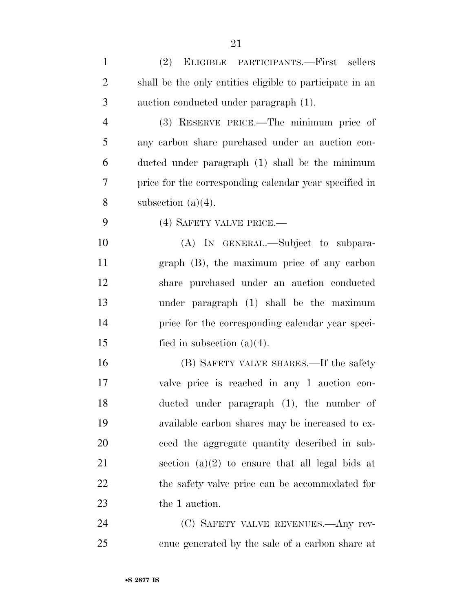| $\mathbf{1}$   | (2) ELIGIBLE PARTICIPANTS.—First sellers                 |
|----------------|----------------------------------------------------------|
| $\overline{2}$ | shall be the only entities eligible to participate in an |
| 3              | auction conducted under paragraph (1).                   |
| $\overline{4}$ | (3) RESERVE PRICE.—The minimum price of                  |
| 5              | any carbon share purchased under an auction con-         |
| 6              | ducted under paragraph (1) shall be the minimum          |
| $\overline{7}$ | price for the corresponding calendar year specified in   |
| 8              | subsection $(a)(4)$ .                                    |
| 9              | (4) SAFETY VALVE PRICE.—                                 |
| 10             | (A) IN GENERAL.—Subject to subpara-                      |
| 11             | graph (B), the maximum price of any carbon               |
| 12             | share purchased under an auction conducted               |
| 13             | under paragraph (1) shall be the maximum                 |
| 14             | price for the corresponding calendar year speci-         |
| 15             | fied in subsection $(a)(4)$ .                            |
| 16             | (B) SAFETY VALVE SHARES.—If the safety                   |
| 17             | valve price is reached in any 1 auction con-             |
| 18             | ducted under paragraph $(1)$ , the number of             |
| 19             | available carbon shares may be increased to ex-          |
| 20             | ceed the aggregate quantity described in sub-            |
|                |                                                          |

 section (a)(2) to ensure that all legal bids at the safety valve price can be accommodated for the 1 auction.

 (C) SAFETY VALVE REVENUES.—Any rev-enue generated by the sale of a carbon share at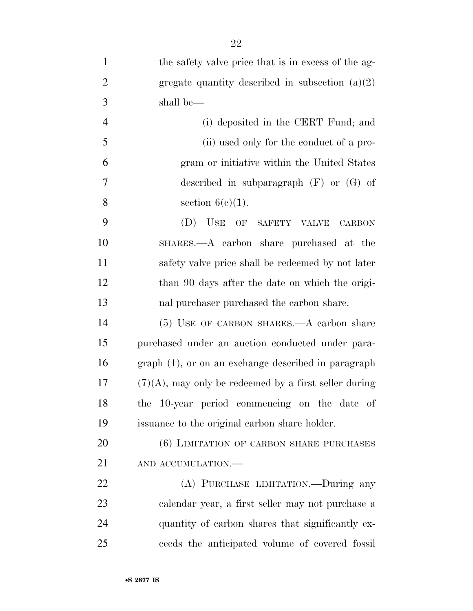| $\mathbf{1}$   | the safety valve price that is in excess of the ag-      |
|----------------|----------------------------------------------------------|
| $\overline{2}$ | gregate quantity described in subsection $(a)(2)$        |
| 3              | shall be—                                                |
| $\overline{4}$ | (i) deposited in the CERT Fund; and                      |
| 5              | (ii) used only for the conduct of a pro-                 |
| 6              | gram or initiative within the United States              |
| 7              | described in subparagraph $(F)$ or $(G)$ of              |
| 8              | section $6(c)(1)$ .                                      |
| 9              | USE OF<br>(D)<br>SAFETY VALVE<br><b>CARBON</b>           |
| 10             | SHARES.—A carbon share purchased at the                  |
| 11             | safety valve price shall be redeemed by not later        |
| 12             | than 90 days after the date on which the origi-          |
| 13             | nal purchaser purchased the carbon share.                |
| 14             | (5) USE OF CARBON SHARES.—A carbon share                 |
| 15             | purchased under an auction conducted under para-         |
| 16             | graph (1), or on an exchange described in paragraph      |
| 17             | $(7)(A)$ , may only be redeemed by a first seller during |
| 18             | the 10-year period commencing on the date of             |
| 19             | issuance to the original carbon share holder.            |
| 20             | (6) LIMITATION OF CARBON SHARE PURCHASES                 |
| 21             | AND ACCUMULATION.-                                       |
| 22             | (A) PURCHASE LIMITATION.—During any                      |
| 23             | calendar year, a first seller may not purchase a         |
| 24             | quantity of carbon shares that significantly ex-         |
| 25             | ceeds the anticipated volume of covered fossil           |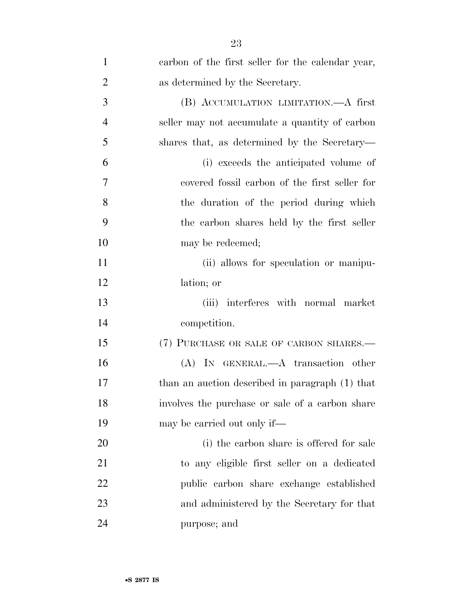| 1              | carbon of the first seller for the calendar year, |
|----------------|---------------------------------------------------|
| $\overline{2}$ | as determined by the Secretary.                   |
| 3              | (B) ACCUMULATION LIMITATION.—A first              |
| $\overline{4}$ | seller may not accumulate a quantity of carbon    |
| 5              | shares that, as determined by the Secretary—      |
| 6              | (i) exceeds the anticipated volume of             |
| 7              | covered fossil carbon of the first seller for     |
| 8              | the duration of the period during which           |
| 9              | the carbon shares held by the first seller        |
| 10             | may be redeemed;                                  |
| 11             | (ii) allows for speculation or manipu-            |
| 12             | lation; or                                        |
| 13             | (iii) interferes with normal market               |
| 14             | competition.                                      |
| 15             | (7) PURCHASE OR SALE OF CARBON SHARES.—           |
| 16             | (A) IN GENERAL.—A transaction other               |
| 17             | than an auction described in paragraph (1) that   |
| 18             | involves the purchase or sale of a carbon share   |
| 19             | may be carried out only if—                       |
| 20             | (i) the carbon share is offered for sale          |
| 21             | to any eligible first seller on a dedicated       |
| 22             | public carbon share exchange established          |
| 23             | and administered by the Secretary for that        |
| 24             | purpose; and                                      |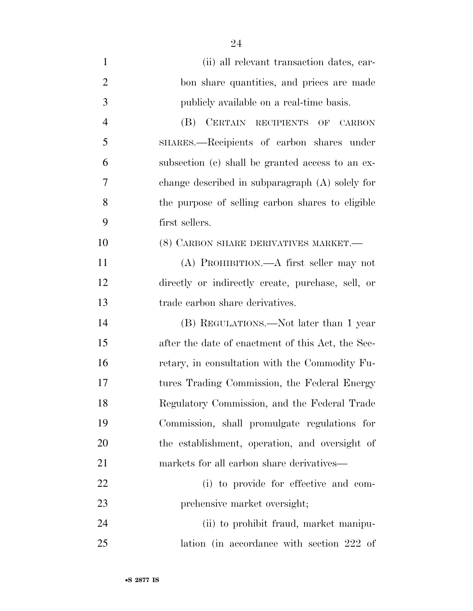| $\mathbf{1}$   | (ii) all relevant transaction dates, car-                  |
|----------------|------------------------------------------------------------|
| $\overline{2}$ | bon share quantities, and prices are made                  |
| 3              | publicly available on a real-time basis.                   |
| $\overline{4}$ | (B) CERTAIN RECIPIENTS<br>$\overline{\text{OF}}$<br>CARBON |
| 5              | SHARES.—Recipients of carbon shares under                  |
| 6              | subsection (c) shall be granted access to an ex-           |
| 7              | change described in subparagraph $(A)$ solely for          |
| 8              | the purpose of selling carbon shares to eligible           |
| 9              | first sellers.                                             |
| 10             | (8) CARBON SHARE DERIVATIVES MARKET.—                      |
| 11             | (A) PROHIBITION.—A first seller may not                    |
| 12             | directly or indirectly create, purchase, sell, or          |
| 13             | trade carbon share derivatives.                            |
| 14             | (B) REGULATIONS.—Not later than 1 year                     |
| 15             | after the date of enactment of this Act, the Sec-          |
| 16             | retary, in consultation with the Commodity Fu-             |
| 17             | tures Trading Commission, the Federal Energy               |
| 18             | Regulatory Commission, and the Federal Trade               |
| 19             | Commission, shall promulgate regulations for               |
| 20             | the establishment, operation, and oversight of             |
| 21             | markets for all carbon share derivatives—                  |
| 22             | (i) to provide for effective and com-                      |
| 23             | prehensive market oversight;                               |
| 24             | (ii) to prohibit fraud, market manipu-                     |
| 25             | lation (in accordance with section 222 of                  |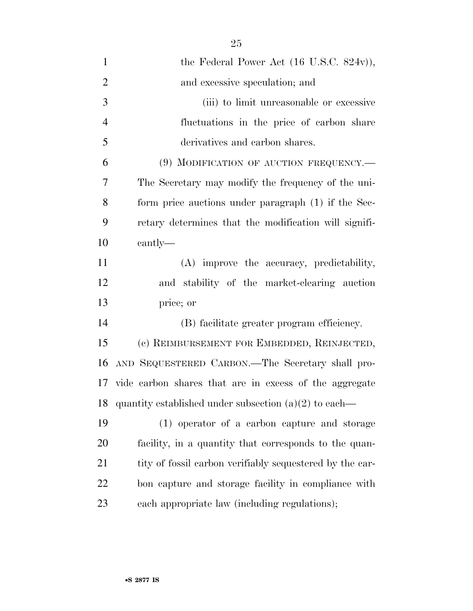| $\mathbf{1}$   | the Federal Power Act $(16 \text{ U.S.C. } 824 \text{v})$ , |
|----------------|-------------------------------------------------------------|
| $\overline{2}$ | and excessive speculation; and                              |
| 3              | (iii) to limit unreasonable or excessive                    |
| $\overline{4}$ | fluctuations in the price of carbon share                   |
| 5              | derivatives and carbon shares.                              |
| 6              | (9) MODIFICATION OF AUCTION FREQUENCY.—                     |
| 7              | The Secretary may modify the frequency of the uni-          |
| 8              | form price auctions under paragraph (1) if the Sec-         |
| 9              | retary determines that the modification will signifi-       |
| 10             | cantly—                                                     |
| 11             | (A) improve the accuracy, predictability,                   |
| 12             | and stability of the market-clearing auction                |
| 13             | price; or                                                   |
| 14             | (B) facilitate greater program efficiency.                  |
| 15             | (c) REIMBURSEMENT FOR EMBEDDED, REINJECTED,                 |
| 16             | AND SEQUESTERED CARBON.—The Secretary shall pro-            |
|                | 17 vide carbon shares that are in excess of the aggregate   |
| 18             | quantity established under subsection $(a)(2)$ to each—     |
| 19             | (1) operator of a carbon capture and storage                |
| 20             | facility, in a quantity that corresponds to the quan-       |
| 21             | tity of fossil carbon verifiably sequestered by the car-    |
| 22             | bon capture and storage facility in compliance with         |
| 23             | each appropriate law (including regulations);               |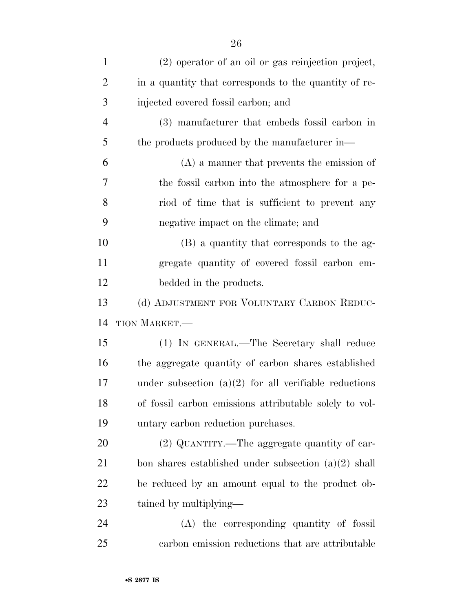| $\mathbf{1}$   | (2) operator of an oil or gas reinjection project,      |
|----------------|---------------------------------------------------------|
| $\overline{2}$ | in a quantity that corresponds to the quantity of re-   |
| 3              | injected covered fossil carbon; and                     |
| $\overline{4}$ | (3) manufacturer that embeds fossil carbon in           |
| 5              | the products produced by the manufacturer in—           |
| 6              | $(A)$ a manner that prevents the emission of            |
| 7              | the fossil carbon into the atmosphere for a pe-         |
| 8              | riod of time that is sufficient to prevent any          |
| 9              | negative impact on the climate; and                     |
| 10             | (B) a quantity that corresponds to the ag-              |
| 11             | gregate quantity of covered fossil carbon em-           |
| 12             | bedded in the products.                                 |
| 13             | (d) ADJUSTMENT FOR VOLUNTARY CARBON REDUC-              |
| 14             | TION MARKET.—                                           |
| 15             | (1) IN GENERAL.—The Secretary shall reduce              |
| 16             | the aggregate quantity of carbon shares established     |
| 17             | under subsection $(a)(2)$ for all verifiable reductions |
| 18             | of fossil carbon emissions attributable solely to vol-  |
| 19             | untary carbon reduction purchases.                      |
| 20             | (2) QUANTITY.—The aggregate quantity of car-            |
| 21             | bon shares established under subsection $(a)(2)$ shall  |
| 22             | be reduced by an amount equal to the product ob-        |
| 23             | tained by multiplying—                                  |
| 24             | (A) the corresponding quantity of fossil                |
| 25             | carbon emission reductions that are attributable        |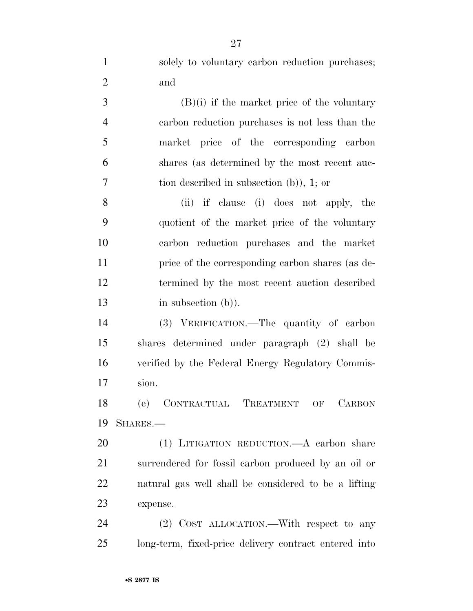| $\mathbf{1}$   | solely to voluntary carbon reduction purchases;       |
|----------------|-------------------------------------------------------|
| $\overline{c}$ | and                                                   |
| 3              | $(B)(i)$ if the market price of the voluntary         |
| $\overline{4}$ | carbon reduction purchases is not less than the       |
| 5              | market price of the corresponding carbon              |
| 6              | shares (as determined by the most recent auc-         |
| 7              | tion described in subsection $(b)$ , 1; or            |
| 8              | if clause (i) does not apply, the<br>(ii)             |
| 9              | quotient of the market price of the voluntary         |
| 10             | carbon reduction purchases and the market             |
| 11             | price of the corresponding carbon shares (as de-      |
| 12             | termined by the most recent auction described         |
| 13             | in subsection $(b)$ ).                                |
| 14             | (3) VERIFICATION.—The quantity of carbon              |
| 15             | shares determined under paragraph (2) shall be        |
| 16             | verified by the Federal Energy Regulatory Commis-     |
| 17             | sion.                                                 |
| 18             | (e) CONTRACTUAL TREATMENT OF<br><b>CARBON</b>         |
| 19             | SHARES.-                                              |
| 20             | (1) LITIGATION REDUCTION.—A carbon share              |
| 21             | surrendered for fossil carbon produced by an oil or   |
| 22             | natural gas well shall be considered to be a lifting  |
| 23             | expense.                                              |
| 24             | (2) COST ALLOCATION.—With respect to any              |
| 25             | long-term, fixed-price delivery contract entered into |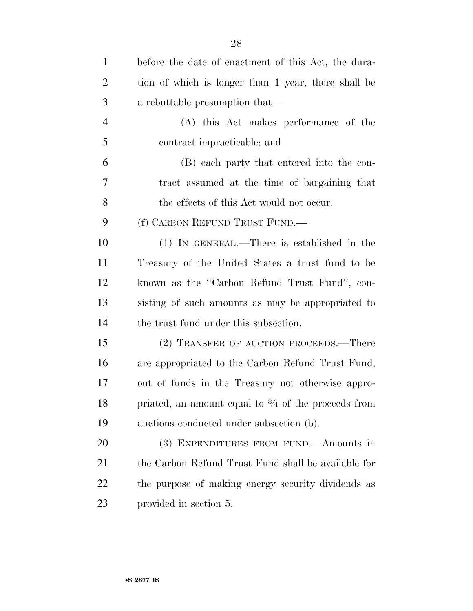| $\mathbf{1}$   | before the date of enactment of this Act, the dura-            |
|----------------|----------------------------------------------------------------|
| $\overline{2}$ | tion of which is longer than 1 year, there shall be            |
| 3              | a rebuttable presumption that—                                 |
| $\overline{4}$ | (A) this Act makes performance of the                          |
| 5              | contract impracticable; and                                    |
| 6              | (B) each party that entered into the con-                      |
| 7              | tract assumed at the time of bargaining that                   |
| 8              | the effects of this Act would not occur.                       |
| 9              | (f) CARBON REFUND TRUST FUND.—                                 |
| 10             | $(1)$ IN GENERAL.—There is established in the                  |
| 11             | Treasury of the United States a trust fund to be               |
| 12             | known as the "Carbon Refund Trust Fund", con-                  |
| 13             | sisting of such amounts as may be appropriated to              |
| 14             | the trust fund under this subsection.                          |
| 15             | (2) TRANSFER OF AUCTION PROCEEDS.—There                        |
| 16             | are appropriated to the Carbon Refund Trust Fund,              |
| 17             | out of funds in the Treasury not otherwise appro-              |
| 18             | priated, an amount equal to $\frac{3}{4}$ of the proceeds from |
| 19             | auctions conducted under subsection (b).                       |
| 20             | (3) EXPENDITURES FROM FUND.—Amounts in                         |
| 21             | the Carbon Refund Trust Fund shall be available for            |
| 22             | the purpose of making energy security dividends as             |
| 23             | provided in section 5.                                         |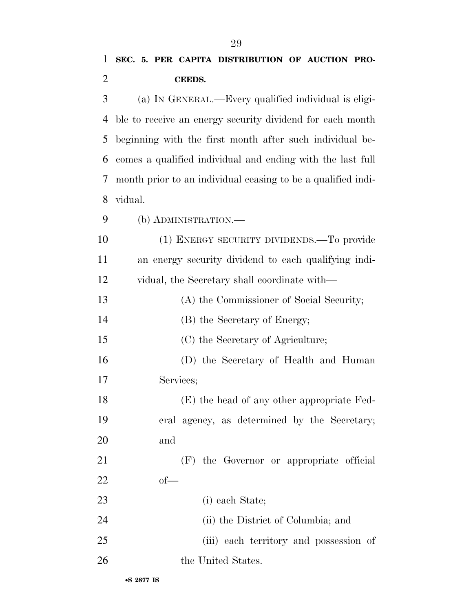(a) IN GENERAL.—Every qualified individual is eligi- ble to receive an energy security dividend for each month beginning with the first month after such individual be- comes a qualified individual and ending with the last full month prior to an individual ceasing to be a qualified indi-vidual.

(b) ADMINISTRATION.—

 (1) ENERGY SECURITY DIVIDENDS.—To provide an energy security dividend to each qualifying indi-vidual, the Secretary shall coordinate with—

(A) the Commissioner of Social Security;

(B) the Secretary of Energy;

(C) the Secretary of Agriculture;

 (D) the Secretary of Health and Human Services;

 (E) the head of any other appropriate Fed- eral agency, as determined by the Secretary; and

 (F) the Governor or appropriate official of—

(i) each State;

24 (ii) the District of Columbia; and

(iii) each territory and possession of

26 the United States.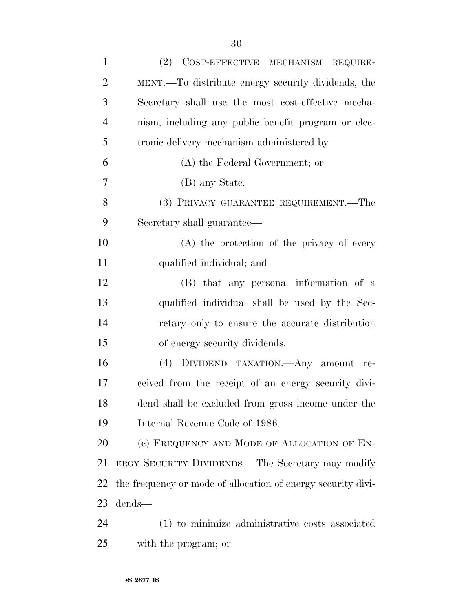| $\mathbf{1}$   | (2) COST-EFFECTIVE MECHANISM REQUIRE-                        |
|----------------|--------------------------------------------------------------|
| $\overline{2}$ | MENT.—To distribute energy security dividends, the           |
| 3              | Secretary shall use the most cost-effective mecha-           |
| $\overline{4}$ | nism, including any public benefit program or elec-          |
| 5              | tronic delivery mechanism administered by—                   |
| 6              | (A) the Federal Government; or                               |
| 7              | (B) any State.                                               |
| 8              | (3) PRIVACY GUARANTEE REQUIREMENT.—The                       |
| 9              | Secretary shall guarantee—                                   |
| 10             | (A) the protection of the privacy of every                   |
| 11             | qualified individual; and                                    |
| 12             | (B) that any personal information of a                       |
| 13             | qualified individual shall be used by the Sec-               |
| 14             | retary only to ensure the accurate distribution              |
| 15             | of energy security dividends.                                |
| 16             | (4) DIVIDEND TAXATION.—Any amount re-                        |
| 17             | ceived from the receipt of an energy security divi-          |
| 18             | dend shall be excluded from gross income under the           |
| 19             | Internal Revenue Code of 1986.                               |
| 20             | (c) FREQUENCY AND MODE OF ALLOCATION OF EN-                  |
| 21             | ERGY SECURITY DIVIDENDS.—The Secretary may modify            |
| 22             | the frequency or mode of allocation of energy security divi- |
| 23             | dends-                                                       |
| 24             | (1) to minimize administrative costs associated              |
| 25             | with the program; or                                         |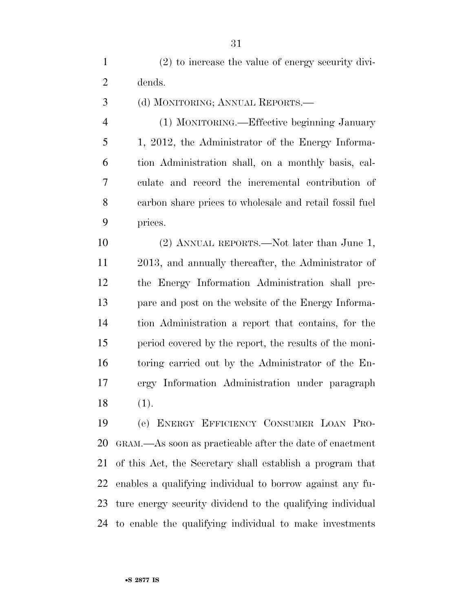(2) to increase the value of energy security divi-dends.

(d) MONITORING; ANNUAL REPORTS.—

 (1) MONITORING.—Effective beginning January 1, 2012, the Administrator of the Energy Informa- tion Administration shall, on a monthly basis, cal- culate and record the incremental contribution of carbon share prices to wholesale and retail fossil fuel prices.

 (2) ANNUAL REPORTS.—Not later than June 1, 2013, and annually thereafter, the Administrator of the Energy Information Administration shall pre- pare and post on the website of the Energy Informa- tion Administration a report that contains, for the period covered by the report, the results of the moni- toring carried out by the Administrator of the En- ergy Information Administration under paragraph (1).

 (e) ENERGY EFFICIENCY CONSUMER LOAN PRO- GRAM.—As soon as practicable after the date of enactment of this Act, the Secretary shall establish a program that enables a qualifying individual to borrow against any fu- ture energy security dividend to the qualifying individual to enable the qualifying individual to make investments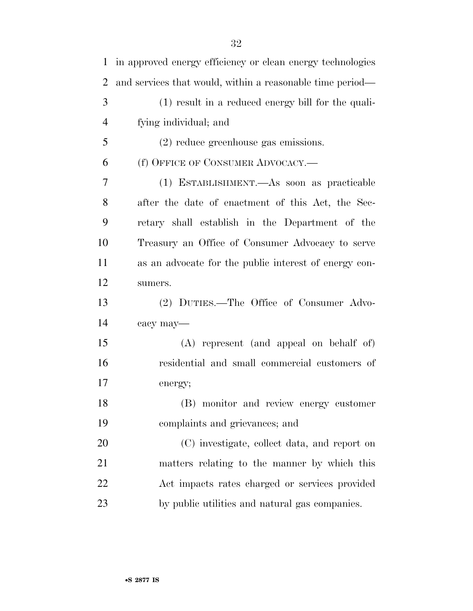| $\mathbf{1}$   | in approved energy efficiency or clean energy technologies |
|----------------|------------------------------------------------------------|
| $\overline{2}$ | and services that would, within a reasonable time period—  |
| 3              | (1) result in a reduced energy bill for the quali-         |
| $\overline{4}$ | fying individual; and                                      |
| 5              | $(2)$ reduce greenhouse gas emissions.                     |
| 6              | (f) OFFICE OF CONSUMER ADVOCACY.—                          |
| 7              | (1) ESTABLISHMENT.—As soon as practicable                  |
| 8              | after the date of enactment of this Act, the Sec-          |
| 9              | retary shall establish in the Department of the            |
| 10             | Treasury an Office of Consumer Advocacy to serve           |
| 11             | as an advocate for the public interest of energy con-      |
| 12             | sumers.                                                    |
| 13             | (2) DUTIES.—The Office of Consumer Advo-                   |
| 14             | cacy may-                                                  |
| 15             | (A) represent (and appeal on behalf of)                    |
| 16             | residential and small commercial customers of              |
| 17             | energy;                                                    |
| 18             | (B) monitor and review energy customer                     |
| 19             | complaints and grievances; and                             |
| 20             | (C) investigate, collect data, and report on               |
| 21             | matters relating to the manner by which this               |
| 22             | Act impacts rates charged or services provided             |
| 23             | by public utilities and natural gas companies.             |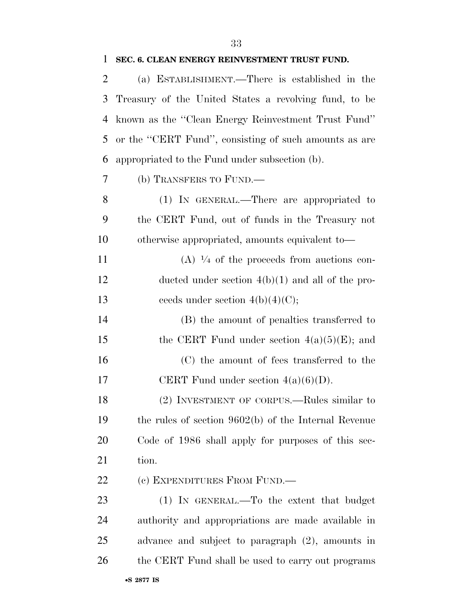(a) ESTABLISHMENT.—There is established in the

| 3  | Treasury of the United States a revolving fund, to be  |
|----|--------------------------------------------------------|
| 4  | known as the "Clean Energy Reinvestment Trust Fund"    |
| 5  | or the "CERT Fund", consisting of such amounts as are  |
| 6  | appropriated to the Fund under subsection (b).         |
| 7  | (b) TRANSFERS TO FUND.—                                |
| 8  | (1) IN GENERAL.—There are appropriated to              |
| 9  | the CERT Fund, out of funds in the Treasury not        |
| 10 | otherwise appropriated, amounts equivalent to-         |
| 11 | $(A)$ $\frac{1}{4}$ of the proceeds from auctions con- |
| 12 | ducted under section $4(b)(1)$ and all of the pro-     |
| 13 | ceeds under section $4(b)(4)(C)$ ;                     |
| 14 | (B) the amount of penalties transferred to             |
| 15 | the CERT Fund under section $4(a)(5)(E)$ ; and         |
| 16 | (C) the amount of fees transferred to the              |
| 17 | CERT Fund under section $4(a)(6)(D)$ .                 |
| 18 | (2) INVESTMENT OF CORPUS.—Rules similar to             |
| 19 | the rules of section $9602(b)$ of the Internal Revenue |
| 20 | Code of 1986 shall apply for purposes of this sec-     |
| 21 | tion.                                                  |
| 22 | (c) EXPENDITURES FROM FUND.—                           |
| 23 | $(1)$ IN GENERAL.—To the extent that budget            |
| 24 | authority and appropriations are made available in     |
| 25 | advance and subject to paragraph $(2)$ , amounts in    |
| 26 | the CERT Fund shall be used to carry out programs      |
|    | •S 2877 IS                                             |

## **SEC. 6. CLEAN ENERGY REINVESTMENT TRUST FUND.**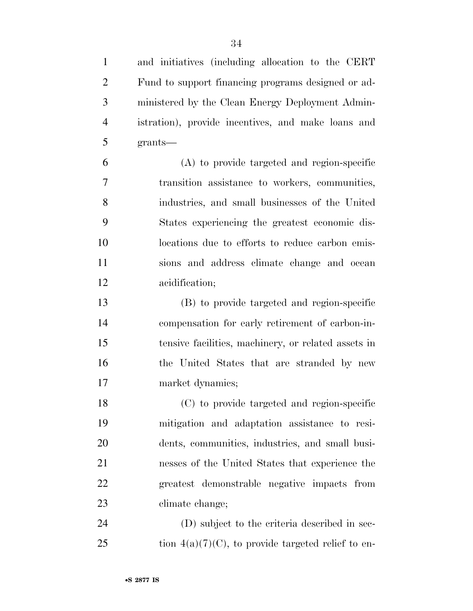and initiatives (including allocation to the CERT Fund to support financing programs designed or ad- ministered by the Clean Energy Deployment Admin- istration), provide incentives, and make loans and grants—

 (A) to provide targeted and region-specific transition assistance to workers, communities, industries, and small businesses of the United States experiencing the greatest economic dis- locations due to efforts to reduce carbon emis- sions and address climate change and ocean acidification;

 (B) to provide targeted and region-specific compensation for early retirement of carbon-in- tensive facilities, machinery, or related assets in the United States that are stranded by new market dynamics;

 (C) to provide targeted and region-specific mitigation and adaptation assistance to resi- dents, communities, industries, and small busi- nesses of the United States that experience the greatest demonstrable negative impacts from climate change;

 (D) subject to the criteria described in sec-25 tion  $4(a)(7)(C)$ , to provide targeted relief to en-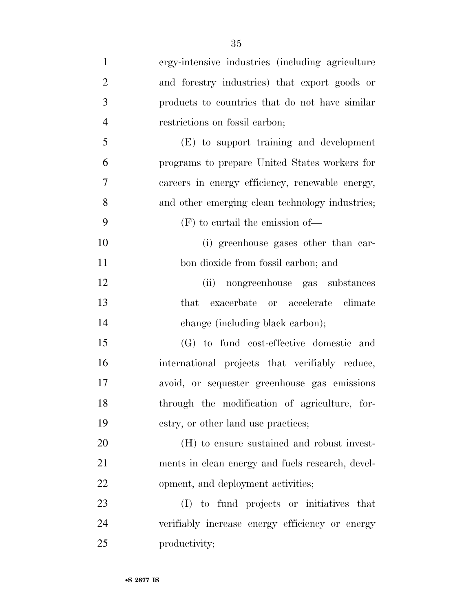| $\mathbf{1}$   | ergy-intensive industries (including agriculture |
|----------------|--------------------------------------------------|
| $\overline{2}$ | and forestry industries) that export goods or    |
| 3              | products to countries that do not have similar   |
| $\overline{4}$ | restrictions on fossil carbon;                   |
| 5              | (E) to support training and development          |
| 6              | programs to prepare United States workers for    |
| 7              | careers in energy efficiency, renewable energy,  |
| 8              | and other emerging clean technology industries;  |
| 9              | $(F)$ to curtail the emission of—                |
| 10             | (i) greenhouse gases other than car-             |
| 11             | bon dioxide from fossil carbon; and              |
| 12             | (ii)<br>nongreenhouse gas substances             |
| 13             | exacerbate or accelerate climate<br>that         |
| 14             | change (including black carbon);                 |
| 15             | (G) to fund cost-effective domestic and          |
| 16             | international projects that verifiably reduce,   |
| 17             | avoid, or sequester greenhouse gas emissions     |
| 18             | through the modification of agriculture, for-    |
| 19             | estry, or other land use practices;              |
| 20             | (H) to ensure sustained and robust invest-       |
| 21             | ments in clean energy and fuels research, devel- |
| 22             | opment, and deployment activities;               |
| 23             | (I) to fund projects or initiatives that         |
| 24             | verifiably increase energy efficiency or energy  |
| 25             | productivity;                                    |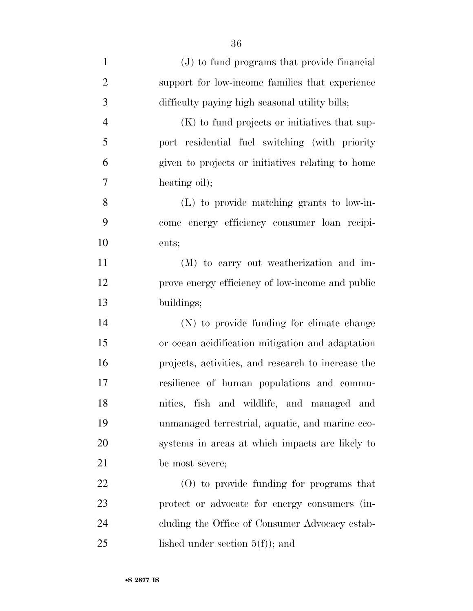| $\mathbf{1}$   | (J) to fund programs that provide financial        |
|----------------|----------------------------------------------------|
| $\overline{2}$ | support for low-income families that experience    |
| 3              | difficulty paying high seasonal utility bills;     |
| $\overline{4}$ | (K) to fund projects or initiatives that sup-      |
| 5              | port residential fuel switching (with priority     |
| 6              | given to projects or initiatives relating to home  |
| 7              | heating oil);                                      |
| 8              | $(L)$ to provide matching grants to low-in-        |
| 9              | come energy efficiency consumer loan recipi-       |
| 10             | ents;                                              |
| 11             | (M) to carry out weatherization and im-            |
| 12             | prove energy efficiency of low-income and public   |
| 13             | buildings;                                         |
| 14             | (N) to provide funding for climate change          |
| 15             | or ocean acidification mitigation and adaptation   |
| 16             | projects, activities, and research to increase the |
| 17             | resilience of human populations and commu-         |
| 18             | nities, fish and wildlife, and managed and         |
| 19             | unmanaged terrestrial, aquatic, and marine eco-    |
| 20             | systems in areas at which impacts are likely to    |
| 21             | be most severe;                                    |
| 22             | $(0)$ to provide funding for programs that         |
| 23             | protect or advocate for energy consumers (in-      |
| 24             | cluding the Office of Consumer Advocacy estab-     |
| 25             | lished under section $5(f)$ ; and                  |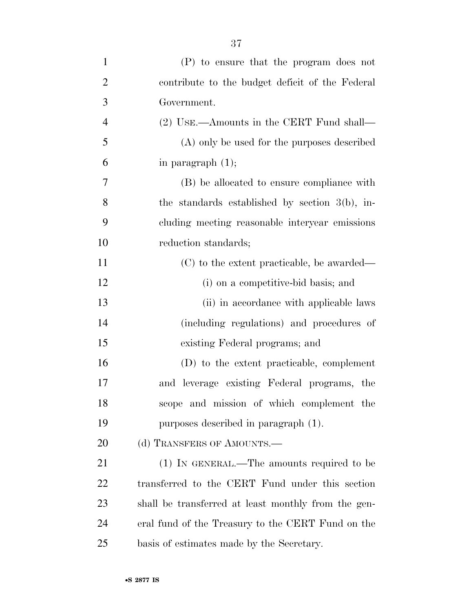| $\mathbf{1}$   | (P) to ensure that the program does not             |
|----------------|-----------------------------------------------------|
| $\overline{2}$ | contribute to the budget deficit of the Federal     |
| 3              | Government.                                         |
| $\overline{4}$ | (2) USE.—Amounts in the CERT Fund shall—            |
| 5              | (A) only be used for the purposes described         |
| 6              |                                                     |
|                | in paragraph $(1)$ ;                                |
| 7              | (B) be allocated to ensure compliance with          |
| 8              | the standards established by section $3(b)$ , in-   |
| 9              | cluding meeting reasonable intervear emissions      |
| 10             | reduction standards;                                |
| 11             | (C) to the extent practicable, be awarded—          |
| 12             | (i) on a competitive-bid basis; and                 |
| 13             | (ii) in accordance with applicable laws             |
| 14             | (including regulations) and procedures of           |
| 15             | existing Federal programs; and                      |
| 16             | (D) to the extent practicable, complement           |
| 17             | and leverage existing Federal programs, the         |
| 18             | scope and mission of which complement the           |
| 19             | purposes described in paragraph (1).                |
| 20             | (d) TRANSFERS OF AMOUNTS.—                          |
| 21             | $(1)$ IN GENERAL.—The amounts required to be        |
| 22             | transferred to the CERT Fund under this section     |
| 23             | shall be transferred at least monthly from the gen- |
| 24             | eral fund of the Treasury to the CERT Fund on the   |
| 25             | basis of estimates made by the Secretary.           |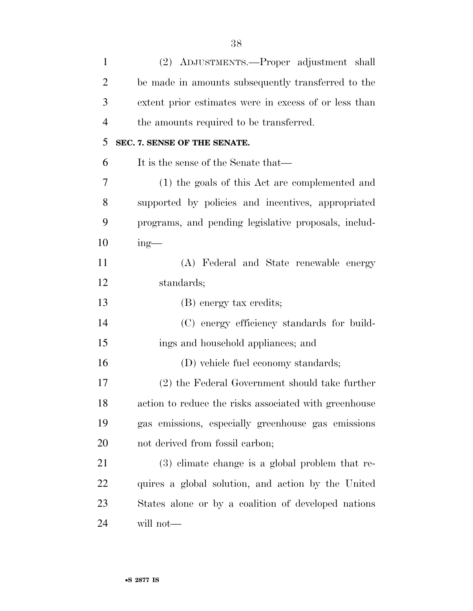| $\mathbf{1}$   | (2) ADJUSTMENTS.—Proper adjustment shall              |
|----------------|-------------------------------------------------------|
| $\overline{2}$ | be made in amounts subsequently transferred to the    |
| 3              | extent prior estimates were in excess of or less than |
| $\overline{4}$ | the amounts required to be transferred.               |
| 5              | SEC. 7. SENSE OF THE SENATE.                          |
| 6              | It is the sense of the Senate that—                   |
| 7              | (1) the goals of this Act are complemented and        |
| 8              | supported by policies and incentives, appropriated    |
| 9              | programs, and pending legislative proposals, includ-  |
| 10             | $ing$ —                                               |
| 11             | (A) Federal and State renewable energy                |
| 12             | standards;                                            |
| 13             | (B) energy tax credits;                               |
| 14             | (C) energy efficiency standards for build-            |
| 15             | ings and household appliances; and                    |
| 16             | (D) vehicle fuel economy standards;                   |
| 17             | (2) the Federal Government should take further        |
| 18             | action to reduce the risks associated with greenhouse |
| 19             | gas emissions, especially greenhouse gas emissions    |
| 20             | not derived from fossil carbon;                       |
| 21             | $(3)$ climate change is a global problem that re-     |
| 22             | quires a global solution, and action by the United    |
| 23             | States alone or by a coalition of developed nations   |
| 24             | will not—                                             |